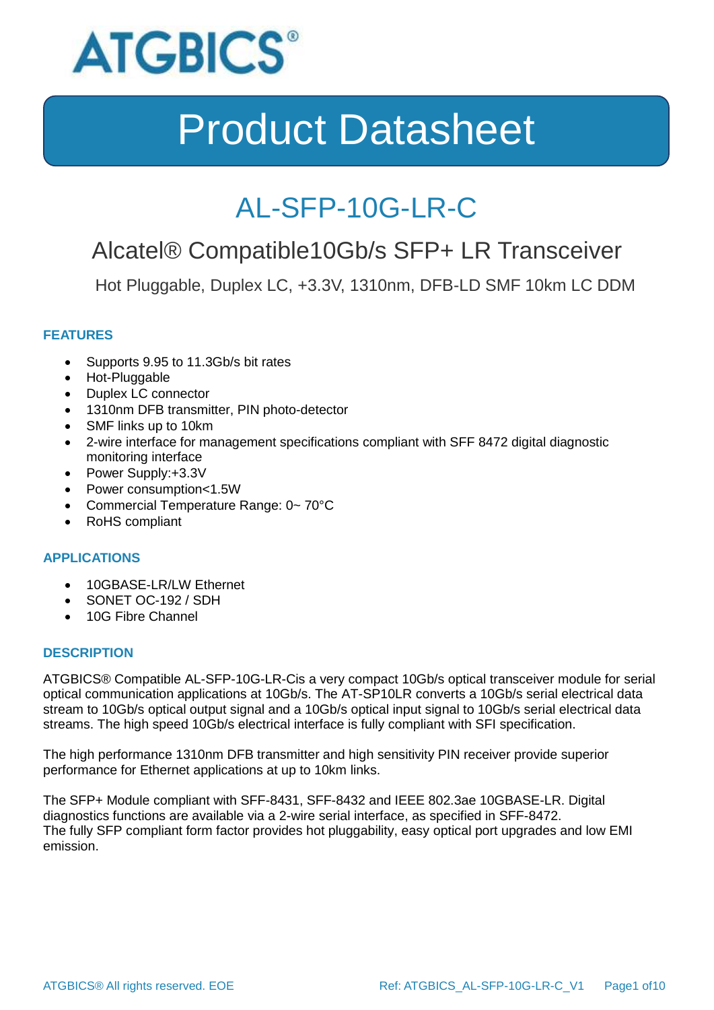

### AL-SFP-10G-LR-C

### Alcatel® Compatible10Gb/s SFP+ LR Transceiver

Hot Pluggable, Duplex LC, +3.3V, 1310nm, DFB-LD SMF 10km LC DDM

### **FEATURES**

- Supports 9.95 to 11.3Gb/s bit rates
- Hot-Pluggable
- Duplex LC connector
- 1310nm DFB transmitter, PIN photo-detector
- SMF links up to 10km
- 2-wire interface for management specifications compliant with SFF 8472 digital diagnostic monitoring interface
- Power Supply:+3.3V
- Power consumption<1.5W
- Commercial Temperature Range: 0~70°C
- RoHS compliant

### **APPLICATIONS**

- 10GBASE-LR/LW Ethernet
- SONET OC-192 / SDH
- 10G Fibre Channel

#### **DESCRIPTION**

ATGBICS® Compatible AL-SFP-10G-LR-Cis a very compact 10Gb/s optical transceiver module for serial optical communication applications at 10Gb/s. The AT-SP10LR converts a 10Gb/s serial electrical data stream to 10Gb/s optical output signal and a 10Gb/s optical input signal to 10Gb/s serial electrical data streams. The high speed 10Gb/s electrical interface is fully compliant with SFI specification.

The high performance 1310nm DFB transmitter and high sensitivity PIN receiver provide superior performance for Ethernet applications at up to 10km links.

The SFP+ Module compliant with SFF-8431, SFF-8432 and IEEE 802.3ae 10GBASE-LR. Digital diagnostics functions are available via a 2-wire serial interface, as specified in SFF-8472. The fully SFP compliant form factor provides hot pluggability, easy optical port upgrades and low EMI emission.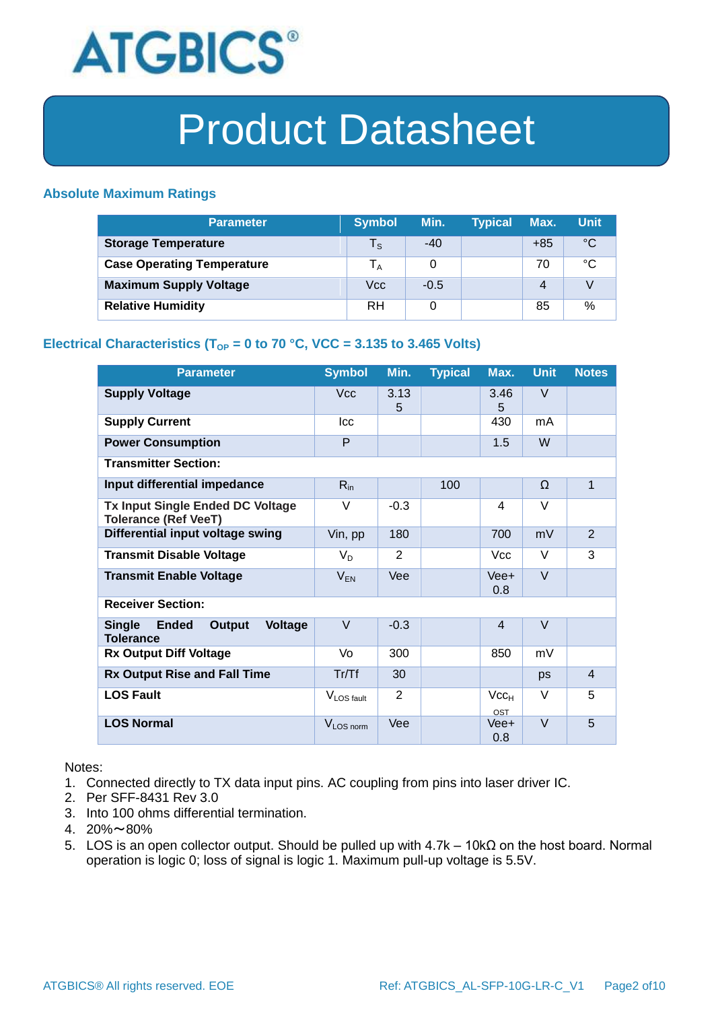

#### **Absolute Maximum Ratings**

| <b>Parameter</b>                  | <b>Symbol</b>           | Min.   | <b>Typical</b> | Max.  | <b>Unit</b> |
|-----------------------------------|-------------------------|--------|----------------|-------|-------------|
| <b>Storage Temperature</b>        | $\mathsf{T}_\mathsf{S}$ | $-40$  |                | $+85$ | °C          |
| <b>Case Operating Temperature</b> | $T_A$                   | 0      |                | 70    | °C          |
| <b>Maximum Supply Voltage</b>     | Vcc                     | $-0.5$ |                | 4     |             |
| <b>Relative Humidity</b>          | RH                      | 0      |                | 85    | %           |

### **Electrical Characteristics (T<sub>OP</sub> = 0 to 70 °C, VCC = 3.135 to 3.465 Volts)**

| <b>Parameter</b>                                                              | <b>Symbol</b>          | Min.           | <b>Typical</b> | Max.                    | <b>Unit</b> | <b>Notes</b>   |
|-------------------------------------------------------------------------------|------------------------|----------------|----------------|-------------------------|-------------|----------------|
| <b>Supply Voltage</b>                                                         | <b>Vcc</b>             | 3.13<br>5      |                | 3.46<br>5               | V           |                |
| <b>Supply Current</b>                                                         | Icc                    |                |                | 430                     | mA          |                |
| <b>Power Consumption</b>                                                      | P                      |                |                | 1.5                     | W           |                |
| <b>Transmitter Section:</b>                                                   |                        |                |                |                         |             |                |
| Input differential impedance                                                  | $R_{in}$               |                | 100            |                         | Ω           | $\mathbf{1}$   |
| <b>Tx Input Single Ended DC Voltage</b><br><b>Tolerance (Ref VeeT)</b>        | V                      | $-0.3$         |                | 4                       | V           |                |
| Differential input voltage swing                                              | Vin, pp                | 180            |                | 700                     | mV          | $\overline{2}$ |
| <b>Transmit Disable Voltage</b>                                               | $V_D$                  | 2              |                | <b>Vcc</b>              | $\vee$      | 3              |
| <b>Transmit Enable Voltage</b>                                                | $V_{EN}$               | Vee            |                | Vee+<br>0.8             | $\vee$      |                |
| <b>Receiver Section:</b>                                                      |                        |                |                |                         |             |                |
| <b>Single</b><br><b>Ended</b><br>Output<br><b>Voltage</b><br><b>Tolerance</b> | $\vee$                 | $-0.3$         |                | $\overline{4}$          | $\vee$      |                |
| <b>Rx Output Diff Voltage</b>                                                 | Vo                     | 300            |                | 850                     | mV          |                |
| <b>Rx Output Rise and Fall Time</b>                                           | Tr/Tf                  | 30             |                |                         | ps          | $\overline{4}$ |
| <b>LOS Fault</b>                                                              | V <sub>LOS fault</sub> | $\overline{2}$ |                | Vcc <sub>H</sub><br>OST | V           | 5              |
| <b>LOS Normal</b>                                                             | V <sub>LOS</sub> norm  | Vee            |                | Vee+<br>0.8             | $\vee$      | 5              |

Notes:

- 1. Connected directly to TX data input pins. AC coupling from pins into laser driver IC.
- 2. Per SFF-8431 Rev 3.0
- 3. Into 100 ohms differential termination.
- 4. 20%~80%
- 5. LOS is an open collector output. Should be pulled up with 4.7k 10kΩ on the host board. Normal operation is logic 0; loss of signal is logic 1. Maximum pull-up voltage is 5.5V.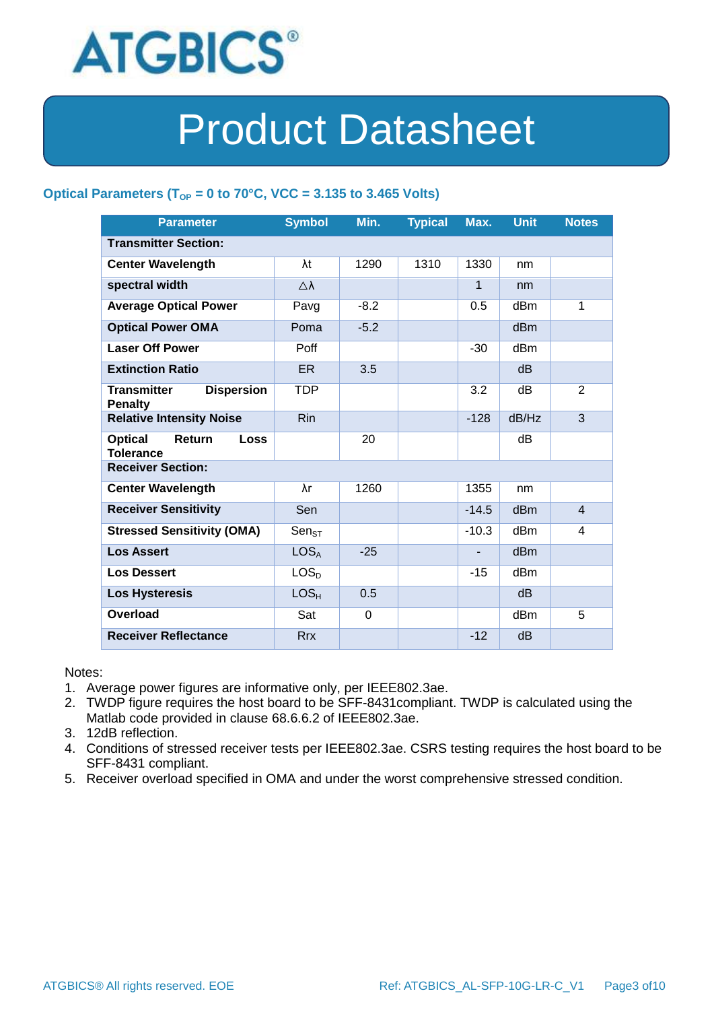

### Optical Parameters ( $T_{OP}$  = 0 to 70°C, VCC = 3.135 to 3.465 Volts)

| <b>Parameter</b>                                            | <b>Symbol</b>       | Min.   | <b>Typical</b> | Max.         | <b>Unit</b>     | <b>Notes</b>   |
|-------------------------------------------------------------|---------------------|--------|----------------|--------------|-----------------|----------------|
| <b>Transmitter Section:</b>                                 |                     |        |                |              |                 |                |
| <b>Center Wavelength</b>                                    | λt                  | 1290   | 1310           | 1330         | nm              |                |
| spectral width                                              | $\triangle \lambda$ |        |                | $\mathbf{1}$ | nm              |                |
| <b>Average Optical Power</b>                                | Pavg                | $-8.2$ |                | 0.5          | dBm             | 1              |
| <b>Optical Power OMA</b>                                    | Poma                | $-5.2$ |                |              | dB <sub>m</sub> |                |
| <b>Laser Off Power</b>                                      | Poff                |        |                | $-30$        | dB <sub>m</sub> |                |
| <b>Extinction Ratio</b>                                     | ER.                 | 3.5    |                |              | d <sub>B</sub>  |                |
| <b>Transmitter</b><br><b>Dispersion</b><br><b>Penalty</b>   | TDP                 |        |                | 3.2          | dВ              | 2              |
| <b>Relative Intensity Noise</b>                             | <b>Rin</b>          |        |                | $-128$       | dB/Hz           | 3              |
| <b>Optical</b><br>Return<br><b>Loss</b><br><b>Tolerance</b> |                     | 20     |                |              | dВ              |                |
| <b>Receiver Section:</b>                                    |                     |        |                |              |                 |                |
| <b>Center Wavelength</b>                                    | λr                  | 1260   |                | 1355         | nm              |                |
| <b>Receiver Sensitivity</b>                                 | Sen                 |        |                | $-14.5$      | d <sub>Bm</sub> | $\overline{4}$ |
| <b>Stressed Sensitivity (OMA)</b>                           | $Sen_{ST}$          |        |                | $-10.3$      | dBm             | 4              |
| <b>Los Assert</b>                                           | LOS <sub>A</sub>    | $-25$  |                |              | d <sub>Bm</sub> |                |
| <b>Los Dessert</b>                                          | LOS <sub>D</sub>    |        |                | $-15$        | dBm             |                |
| <b>Los Hysteresis</b>                                       | LOS <sub>H</sub>    | 0.5    |                |              | d <sub>B</sub>  |                |
| Overload                                                    | Sat                 | 0      |                |              | dB <sub>m</sub> | 5              |
| <b>Receiver Reflectance</b>                                 | <b>Rrx</b>          |        |                | $-12$        | dB              |                |

Notes:

- 1. Average power figures are informative only, per IEEE802.3ae.
- 2. TWDP figure requires the host board to be SFF-8431compliant. TWDP is calculated using the Matlab code provided in clause 68.6.6.2 of IEEE802.3ae.
- 3. 12dB reflection.
- 4. Conditions of stressed receiver tests per IEEE802.3ae. CSRS testing requires the host board to be SFF-8431 compliant.
- 5. Receiver overload specified in OMA and under the worst comprehensive stressed condition.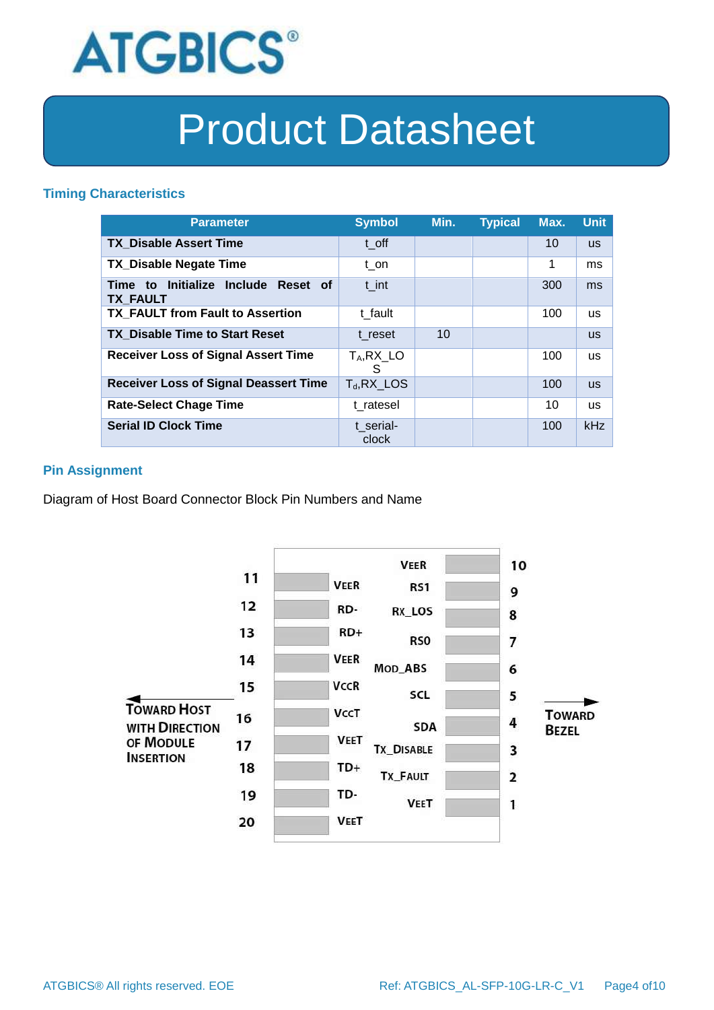

#### **Timing Characteristics**

| <b>Parameter</b>                                       | <b>Symbol</b>      | Min. | <b>Typical</b> | Max. | <b>Unit</b> |
|--------------------------------------------------------|--------------------|------|----------------|------|-------------|
| <b>TX Disable Assert Time</b>                          | t off              |      |                | 10   | <b>US</b>   |
| <b>TX Disable Negate Time</b>                          | t on               |      |                | 1    | ms          |
| Time to Initialize Include Reset of<br><b>TX FAULT</b> | t int              |      |                | 300  | ms          |
| <b>TX FAULT from Fault to Assertion</b>                | t fault            |      |                | 100  | <b>us</b>   |
| <b>TX Disable Time to Start Reset</b>                  | t reset            | 10   |                |      | <b>us</b>   |
| <b>Receiver Loss of Signal Assert Time</b>             | $T_A, RX_L$<br>S   |      |                | 100  | <b>us</b>   |
| <b>Receiver Loss of Signal Deassert Time</b>           | $T_d$ , RX_LOS     |      |                | 100  | <b>us</b>   |
| <b>Rate-Select Chage Time</b>                          | t ratesel          |      |                | 10   | <b>us</b>   |
| <b>Serial ID Clock Time</b>                            | t serial-<br>clock |      |                | 100  | kHz         |

### **Pin Assignment**

Diagram of Host Board Connector Block Pin Numbers and Name

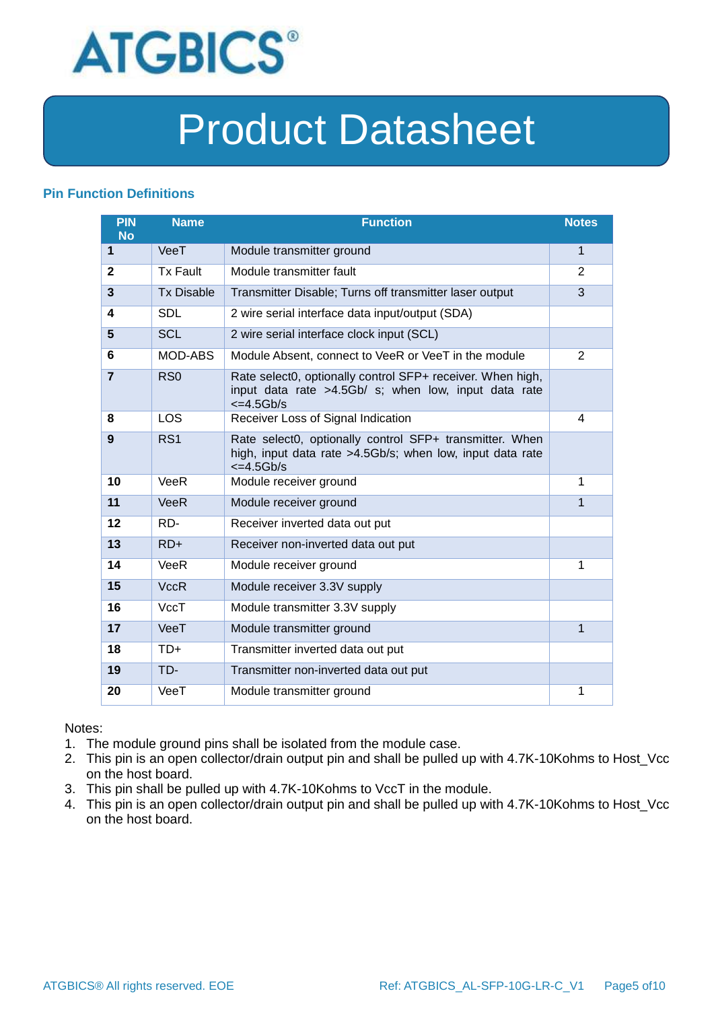

### **Pin Function Definitions**

| PIN<br><b>No</b> | <b>Name</b>       | <b>Function</b>                                                                                                                               | <b>Notes</b>   |
|------------------|-------------------|-----------------------------------------------------------------------------------------------------------------------------------------------|----------------|
| 1                | VeeT              | Module transmitter ground                                                                                                                     | 1              |
| $\mathbf{2}$     | <b>Tx Fault</b>   | Module transmitter fault                                                                                                                      | $\overline{2}$ |
| 3                | <b>Tx Disable</b> | Transmitter Disable; Turns off transmitter laser output                                                                                       | 3              |
| 4                | <b>SDL</b>        | 2 wire serial interface data input/output (SDA)                                                                                               |                |
| 5                | <b>SCL</b>        | 2 wire serial interface clock input (SCL)                                                                                                     |                |
| 6                | MOD-ABS           | Module Absent, connect to VeeR or VeeT in the module                                                                                          | $\overline{2}$ |
| $\overline{7}$   | RSO               | Rate select0, optionally control SFP+ receiver. When high,<br>input data rate >4.5Gb/ s; when low, input data rate<br>$\epsilon$ =4.5Gb/s     |                |
| 8                | LOS               | Receiver Loss of Signal Indication                                                                                                            | 4              |
| 9                | RS <sub>1</sub>   | Rate select0, optionally control SFP+ transmitter. When<br>high, input data rate >4.5Gb/s; when low, input data rate<br>$\epsilon = 4.5$ Gb/s |                |
| 10               | VeeR              | Module receiver ground                                                                                                                        | 1              |
| 11               | <b>VeeR</b>       | Module receiver ground                                                                                                                        | 1              |
| 12               | RD-               | Receiver inverted data out put                                                                                                                |                |
| 13               | $RD+$             | Receiver non-inverted data out put                                                                                                            |                |
| 14               | VeeR              | Module receiver ground                                                                                                                        | 1              |
| 15               | <b>VccR</b>       | Module receiver 3.3V supply                                                                                                                   |                |
| 16               | VccT              | Module transmitter 3.3V supply                                                                                                                |                |
| 17               | VeeT              | Module transmitter ground                                                                                                                     | $\mathbf{1}$   |
| 18               | $TD+$             | Transmitter inverted data out put                                                                                                             |                |
| 19               | TD-               | Transmitter non-inverted data out put                                                                                                         |                |
| 20               | VeeT              | Module transmitter ground                                                                                                                     | 1              |

Notes:

- 1. The module ground pins shall be isolated from the module case.
- 2. This pin is an open collector/drain output pin and shall be pulled up with 4.7K-10Kohms to Host\_Vcc on the host board.
- 3. This pin shall be pulled up with 4.7K-10Kohms to VccT in the module.
- 4. This pin is an open collector/drain output pin and shall be pulled up with 4.7K-10Kohms to Host\_Vcc on the host board.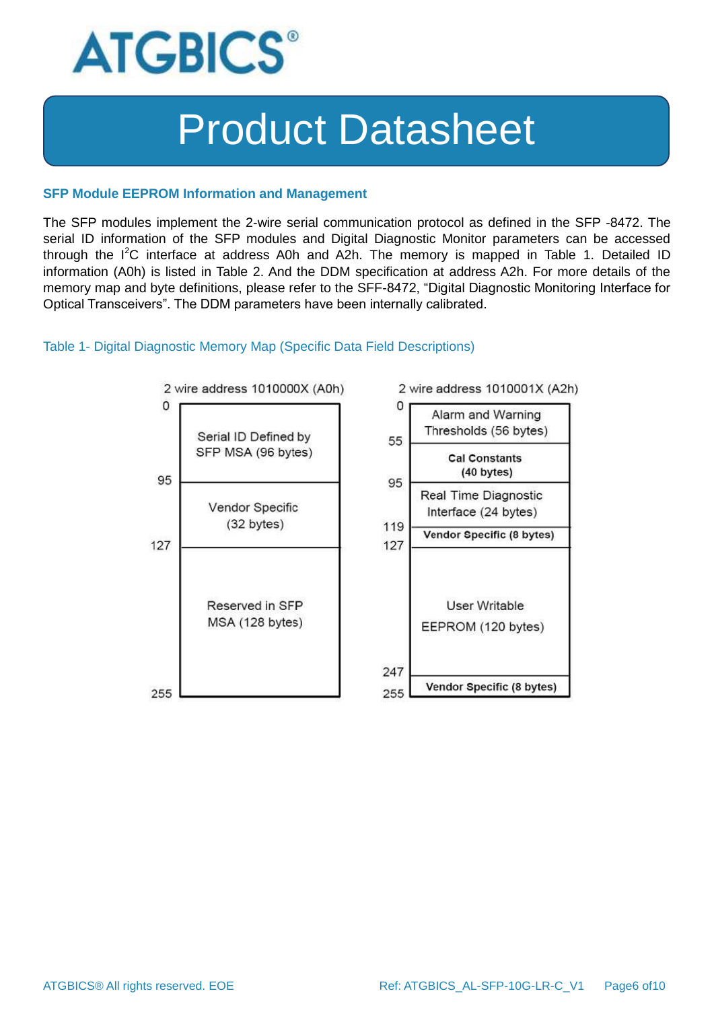

#### **SFP Module EEPROM Information and Management**

The SFP modules implement the 2-wire serial communication protocol as defined in the SFP -8472. The serial ID information of the SFP modules and Digital Diagnostic Monitor parameters can be accessed through the  $I^2C$  interface at address A0h and A2h. The memory is mapped in Table 1. Detailed ID information (A0h) is listed in Table 2. And the DDM specification at address A2h. For more details of the memory map and byte definitions, please refer to the SFF-8472, "Digital Diagnostic Monitoring Interface for Optical Transceivers". The DDM parameters have been internally calibrated.

#### Table 1- Digital Diagnostic Memory Map (Specific Data Field Descriptions)

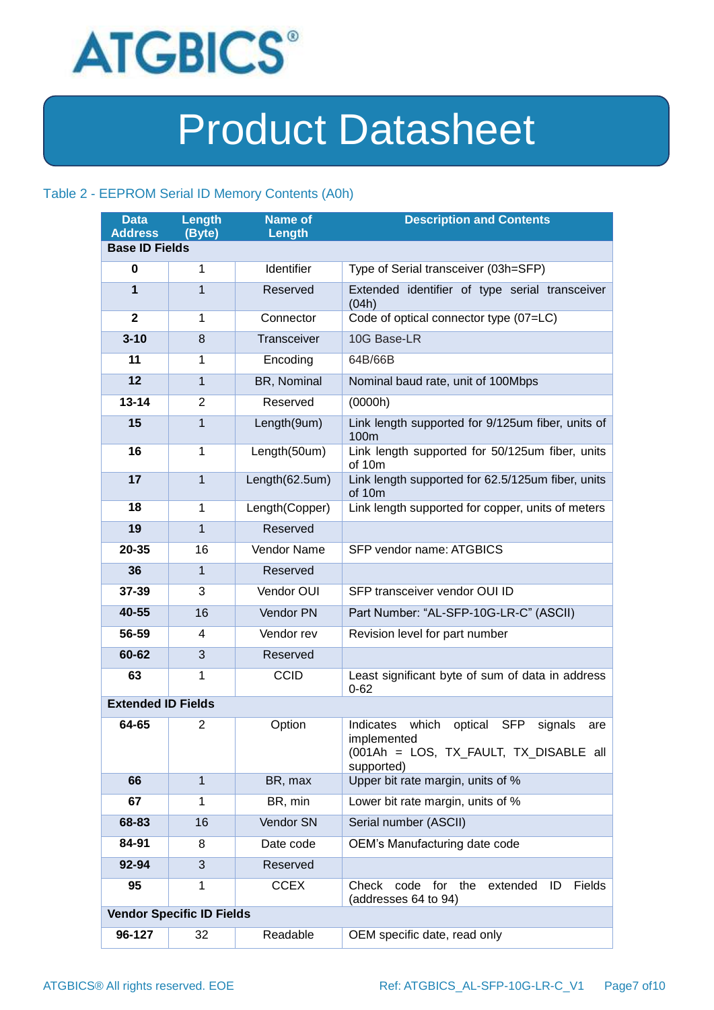

#### Table 2 - EEPROM Serial ID Memory Contents (A0h)

| <b>Data</b><br><b>Address</b> | Length<br>(Byte)                 | <b>Name of</b><br>Length | <b>Description and Contents</b>                                                                                                      |
|-------------------------------|----------------------------------|--------------------------|--------------------------------------------------------------------------------------------------------------------------------------|
| <b>Base ID Fields</b>         |                                  |                          |                                                                                                                                      |
| 0                             | 1                                | Identifier               | Type of Serial transceiver (03h=SFP)                                                                                                 |
| $\mathbf{1}$                  | $\mathbf{1}$                     | Reserved                 | Extended identifier of type serial transceiver<br>(04h)                                                                              |
| $\mathbf{2}$                  | 1                                | Connector                | Code of optical connector type (07=LC)                                                                                               |
| $3 - 10$                      | 8                                | Transceiver              | 10G Base-LR                                                                                                                          |
| 11                            | 1                                | Encoding                 | 64B/66B                                                                                                                              |
| 12                            | $\mathbf{1}$                     | BR, Nominal              | Nominal baud rate, unit of 100Mbps                                                                                                   |
| $13 - 14$                     | 2                                | Reserved                 | (0000h)                                                                                                                              |
| 15                            | $\mathbf{1}$                     | Length(9um)              | Link length supported for 9/125um fiber, units of<br>100m                                                                            |
| 16                            | $\mathbf{1}$                     | Length(50um)             | Link length supported for 50/125um fiber, units<br>of 10m                                                                            |
| 17                            | $\mathbf{1}$                     | Length(62.5um)           | Link length supported for 62.5/125um fiber, units<br>of 10m                                                                          |
| 18                            | $\mathbf{1}$                     | Length(Copper)           | Link length supported for copper, units of meters                                                                                    |
| 19                            | $\mathbf{1}$                     | Reserved                 |                                                                                                                                      |
| 20-35                         | 16                               | <b>Vendor Name</b>       | SFP vendor name: ATGBICS                                                                                                             |
| 36                            | $\mathbf{1}$                     | Reserved                 |                                                                                                                                      |
| 37-39                         | 3                                | Vendor OUI               | SFP transceiver vendor OUI ID                                                                                                        |
| 40-55                         | 16                               | Vendor PN                | Part Number: "AL-SFP-10G-LR-C" (ASCII)                                                                                               |
| 56-59                         | 4                                | Vendor rev               | Revision level for part number                                                                                                       |
| 60-62                         | 3                                | Reserved                 |                                                                                                                                      |
| 63                            | $\mathbf{1}$                     | <b>CCID</b>              | Least significant byte of sum of data in address<br>$0 - 62$                                                                         |
| <b>Extended ID Fields</b>     |                                  |                          |                                                                                                                                      |
| 64-65                         | $\overline{2}$                   | Option                   | which<br>Indicates<br>optical<br><b>SFP</b><br>signals<br>are<br>implemented<br>(001Ah = LOS, TX_FAULT, TX_DISABLE all<br>supported) |
| 66                            | $\mathbf{1}$                     | BR, max                  | Upper bit rate margin, units of %                                                                                                    |
| 67                            | 1                                | BR, min                  | Lower bit rate margin, units of %                                                                                                    |
| 68-83                         | 16                               | Vendor SN                | Serial number (ASCII)                                                                                                                |
| 84-91                         | 8                                | Date code                | OEM's Manufacturing date code                                                                                                        |
| 92-94                         | 3                                | Reserved                 |                                                                                                                                      |
| 95                            | 1                                | <b>CCEX</b>              | Check<br>for<br>the<br>extended<br>Fields<br>code<br>ID<br>(addresses 64 to 94)                                                      |
|                               | <b>Vendor Specific ID Fields</b> |                          |                                                                                                                                      |
| 96-127                        | 32                               | Readable                 | OEM specific date, read only                                                                                                         |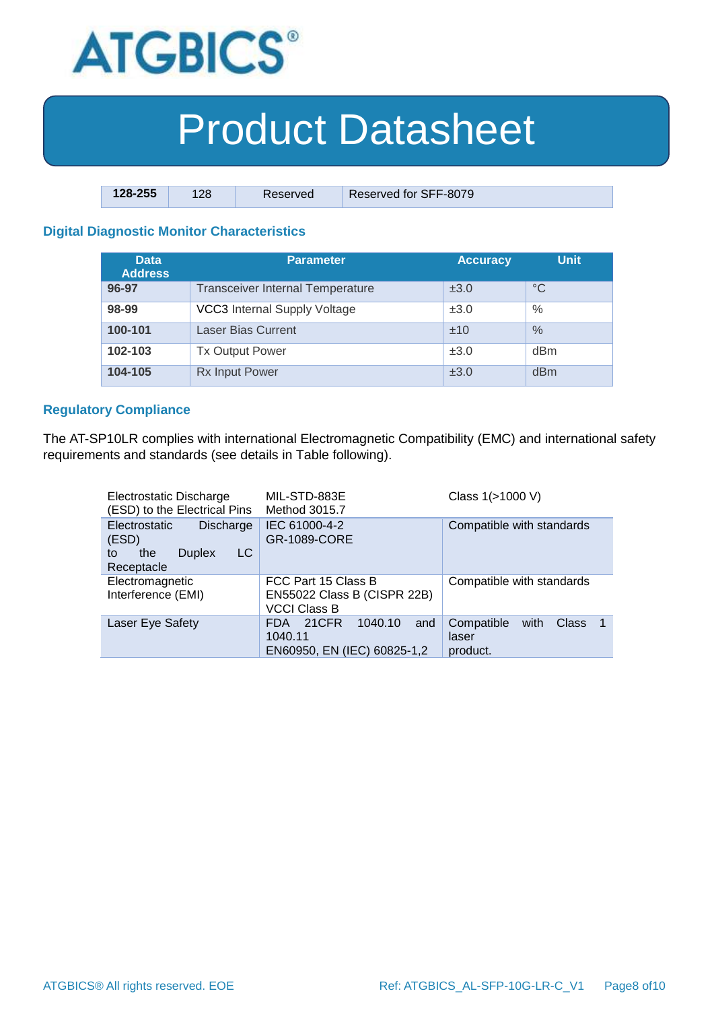

| $128 - 255$ | 128 | Reserved | Reserved for SFF-8079 |
|-------------|-----|----------|-----------------------|

### **Digital Diagnostic Monitor Characteristics**

| <b>Data</b><br><b>Address</b> | Parameter                               | <b>Accuracy</b> | <b>Unit</b> |
|-------------------------------|-----------------------------------------|-----------------|-------------|
| 96-97                         | <b>Transceiver Internal Temperature</b> | ±3.0            | $^{\circ}C$ |
| 98-99                         | <b>VCC3</b> Internal Supply Voltage     | ±3.0            | $\%$        |
| 100-101                       | <b>Laser Bias Current</b>               | ±10             | $\%$        |
| 102-103                       | <b>Tx Output Power</b>                  | ±3.0            | dBm         |
| 104-105                       | <b>Rx Input Power</b>                   | ±3.0            | dBm         |

#### **Regulatory Compliance**

The AT-SP10LR complies with international Electromagnetic Compatibility (EMC) and international safety requirements and standards (see details in Table following).

| Electrostatic Discharge<br>(ESD) to the Electrical Pins                                             | MIL-STD-883E<br>Method 3015.7                                             | Class 1(>1000 V)                                              |
|-----------------------------------------------------------------------------------------------------|---------------------------------------------------------------------------|---------------------------------------------------------------|
| <b>Electrostatic</b><br><b>Discharge</b><br>(ESD)<br>LC<br><b>Duplex</b><br>the<br>to<br>Receptacle | IEC 61000-4-2<br>GR-1089-CORE                                             | Compatible with standards                                     |
| Electromagnetic<br>Interference (EMI)                                                               | FCC Part 15 Class B<br>EN55022 Class B (CISPR 22B)<br><b>VCCI Class B</b> | Compatible with standards                                     |
| Laser Eye Safety                                                                                    | 21CFR<br>1040.10<br>and<br>FDA.<br>1040.11<br>EN60950, EN (IEC) 60825-1,2 | Compatible<br><b>Class</b><br>with<br>-1<br>laser<br>product. |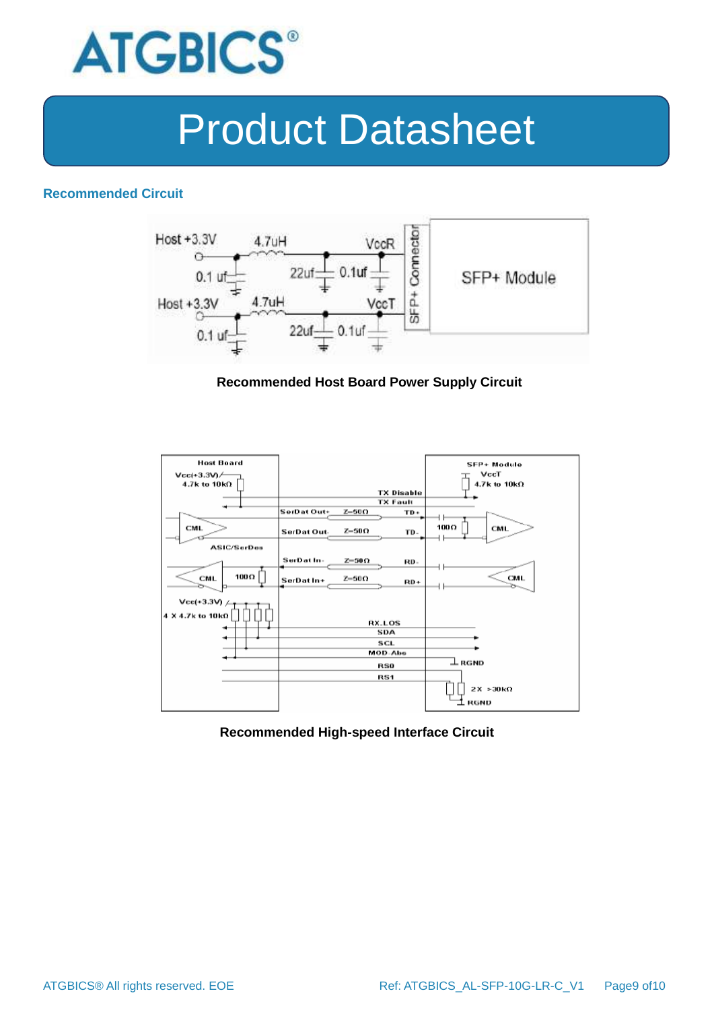

#### **Recommended Circuit**



#### **Recommended Host Board Power Supply Circuit**



#### **Recommended High-speed Interface Circuit**